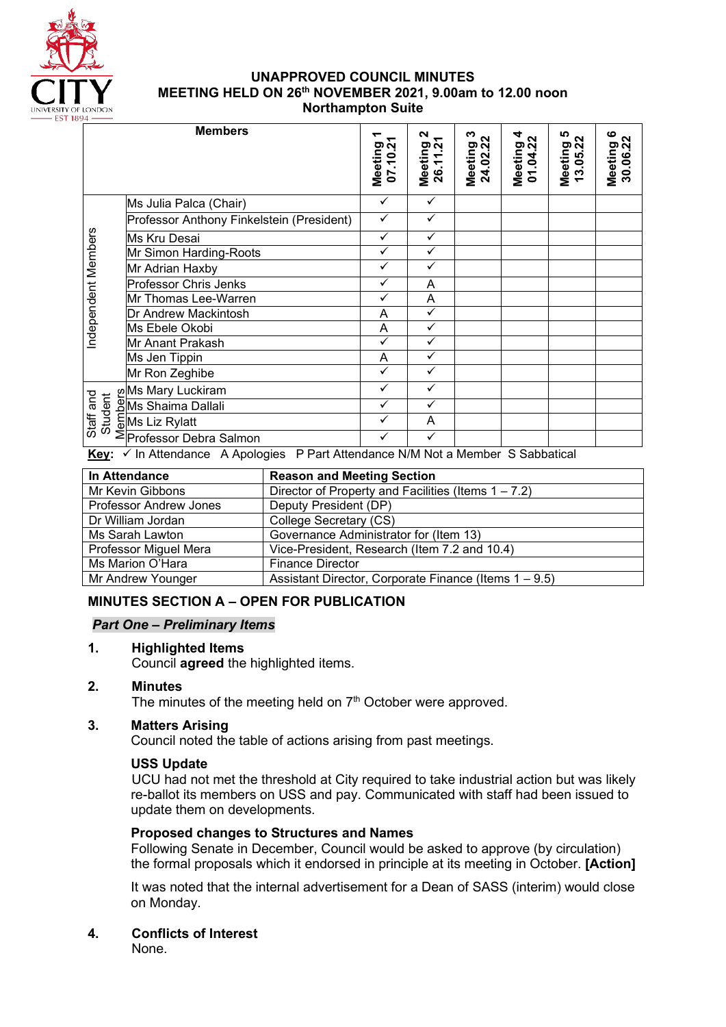

#### **UNAPPROVED COUNCIL MINUTES MEETING HELD ON 26th NOVEMBER 2021, 9.00am to 12.00 noon Northampton Suite**

| '4 —                 |                                                                                            |                    |                         |                          |                          |                               |                          |
|----------------------|--------------------------------------------------------------------------------------------|--------------------|-------------------------|--------------------------|--------------------------|-------------------------------|--------------------------|
|                      | <b>Members</b>                                                                             | Meeting<br>07.10.2 | N<br>Meeting<br>26.11.2 | ∾<br>Meeting<br>24.02.22 | 2<br>Meeting<br>01.04.22 | ທ<br>Σ<br>Meeting<br>13.05.22 | ဖ<br>Meeting<br>30.06.22 |
| Independent Members  | Ms Julia Palca (Chair)                                                                     | ✓                  | ✓                       |                          |                          |                               |                          |
|                      | Professor Anthony Finkelstein (President)                                                  | ✓                  | $\checkmark$            |                          |                          |                               |                          |
|                      | Ms Kru Desai                                                                               | $\checkmark$       | ✓                       |                          |                          |                               |                          |
|                      | Mr Simon Harding-Roots                                                                     | ✓                  | $\checkmark$            |                          |                          |                               |                          |
|                      | Mr Adrian Haxby                                                                            | ✓                  | ✓                       |                          |                          |                               |                          |
|                      | <b>Professor Chris Jenks</b>                                                               | $\checkmark$       | A                       |                          |                          |                               |                          |
|                      | Mr Thomas Lee-Warren                                                                       | ✓                  | A                       |                          |                          |                               |                          |
|                      | Dr Andrew Mackintosh                                                                       | A                  | ✓                       |                          |                          |                               |                          |
|                      | Ms Ebele Okobi                                                                             | A                  | $\checkmark$            |                          |                          |                               |                          |
|                      | Mr Anant Prakash                                                                           | ✓                  | $\checkmark$            |                          |                          |                               |                          |
|                      | Ms Jen Tippin                                                                              | A                  | ✓                       |                          |                          |                               |                          |
|                      | Mr Ron Zeghibe                                                                             | ✓                  | ✓                       |                          |                          |                               |                          |
|                      | Ms Mary Luckiram او                                                                        | ✓                  | ✓                       |                          |                          |                               |                          |
|                      | Ms Shaima Dallali                                                                          |                    | ✓                       |                          |                          |                               |                          |
| Staff and<br>Student | <b>EMs Liz Rylatt</b>                                                                      |                    | A                       |                          |                          |                               |                          |
|                      | ∑Professor Debra Salmon                                                                    |                    | ✓                       |                          |                          |                               |                          |
| $\mathbf{z}$         | D. Dout Attondance NIA Alat a Mambay, C. Cabbatical<br>$\angle$ la Attorolonge A Anglesiae |                    |                         |                          |                          |                               |                          |

| In Attendance          | <b>Reason and Meeting Section</b>                      |
|------------------------|--------------------------------------------------------|
| Mr Kevin Gibbons       | Director of Property and Facilities (Items $1 - 7.2$ ) |
| Professor Andrew Jones | Deputy President (DP)                                  |
| Dr William Jordan      | College Secretary (CS)                                 |
| Ms Sarah Lawton        | Governance Administrator for (Item 13)                 |
| Professor Miguel Mera  | Vice-President, Research (Item 7.2 and 10.4)           |
| Ms Marion O'Hara       | <b>Finance Director</b>                                |
| Mr Andrew Younger      | Assistant Director, Corporate Finance (Items 1 – 9.5)  |
|                        |                                                        |

## **MINUTES SECTION A – OPEN FOR PUBLICATION**

## *Part One – Preliminary Items*

## **1. Highlighted Items**

Council **agreed** the highlighted items.

## **2. Minutes**

The minutes of the meeting held on  $7<sup>th</sup>$  October were approved.

## **3. Matters Arising**

Council noted the table of actions arising from past meetings.

#### **USS Update**

UCU had not met the threshold at City required to take industrial action but was likely re-ballot its members on USS and pay. Communicated with staff had been issued to update them on developments.

## **Proposed changes to Structures and Names**

Following Senate in December, Council would be asked to approve (by circulation) the formal proposals which it endorsed in principle at its meeting in October. **[Action]**

It was noted that the internal advertisement for a Dean of SASS (interim) would close on Monday.

**4. Conflicts of Interest**

None.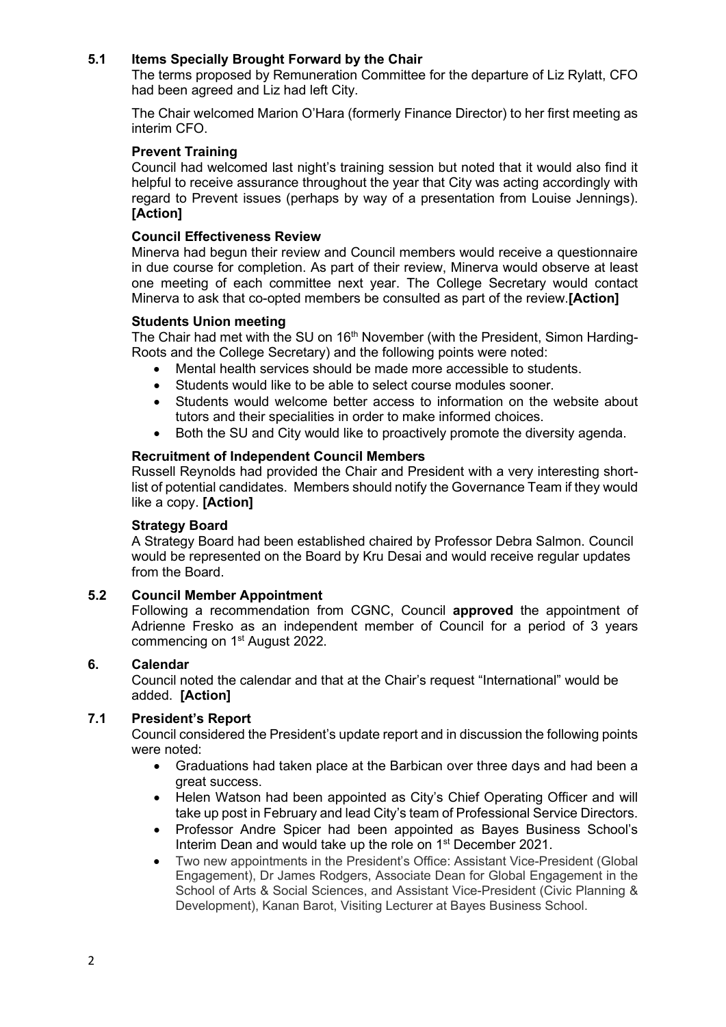## **5.1 Items Specially Brought Forward by the Chair**

The terms proposed by Remuneration Committee for the departure of Liz Rylatt, CFO had been agreed and Liz had left City.

The Chair welcomed Marion O'Hara (formerly Finance Director) to her first meeting as interim CFO.

#### **Prevent Training**

Council had welcomed last night's training session but noted that it would also find it helpful to receive assurance throughout the year that City was acting accordingly with regard to Prevent issues (perhaps by way of a presentation from Louise Jennings). **[Action]**

#### **Council Effectiveness Review**

Minerva had begun their review and Council members would receive a questionnaire in due course for completion. As part of their review, Minerva would observe at least one meeting of each committee next year. The College Secretary would contact Minerva to ask that co-opted members be consulted as part of the review.**[Action]**

#### **Students Union meeting**

The Chair had met with the SU on 16<sup>th</sup> November (with the President, Simon Harding-Roots and the College Secretary) and the following points were noted:

- Mental health services should be made more accessible to students.
- Students would like to be able to select course modules sooner.
- Students would welcome better access to information on the website about tutors and their specialities in order to make informed choices.
- Both the SU and City would like to proactively promote the diversity agenda.

#### **Recruitment of Independent Council Members**

Russell Reynolds had provided the Chair and President with a very interesting shortlist of potential candidates. Members should notify the Governance Team if they would like a copy. **[Action]**

#### **Strategy Board**

A Strategy Board had been established chaired by Professor Debra Salmon. Council would be represented on the Board by Kru Desai and would receive regular updates from the Board.

#### **5.2 Council Member Appointment**

Following a recommendation from CGNC, Council **approved** the appointment of Adrienne Fresko as an independent member of Council for a period of 3 years commencing on 1st August 2022.

#### **6. Calendar**

Council noted the calendar and that at the Chair's request "International" would be added. **[Action]**

#### **7.1 President's Report**

Council considered the President's update report and in discussion the following points were noted:

- Graduations had taken place at the Barbican over three days and had been a great success.
- Helen Watson had been appointed as City's Chief Operating Officer and will take up post in February and lead City's team of Professional Service Directors.
- Professor Andre Spicer had been appointed as Bayes Business School's Interim Dean and would take up the role on 1<sup>st</sup> December 2021.
- Two new appointments in the President's Office: Assistant Vice-President (Global Engagement), Dr James Rodgers, Associate Dean for Global Engagement in the School of Arts & Social Sciences, and Assistant Vice-President (Civic Planning & Development), Kanan Barot, Visiting Lecturer at Bayes Business School.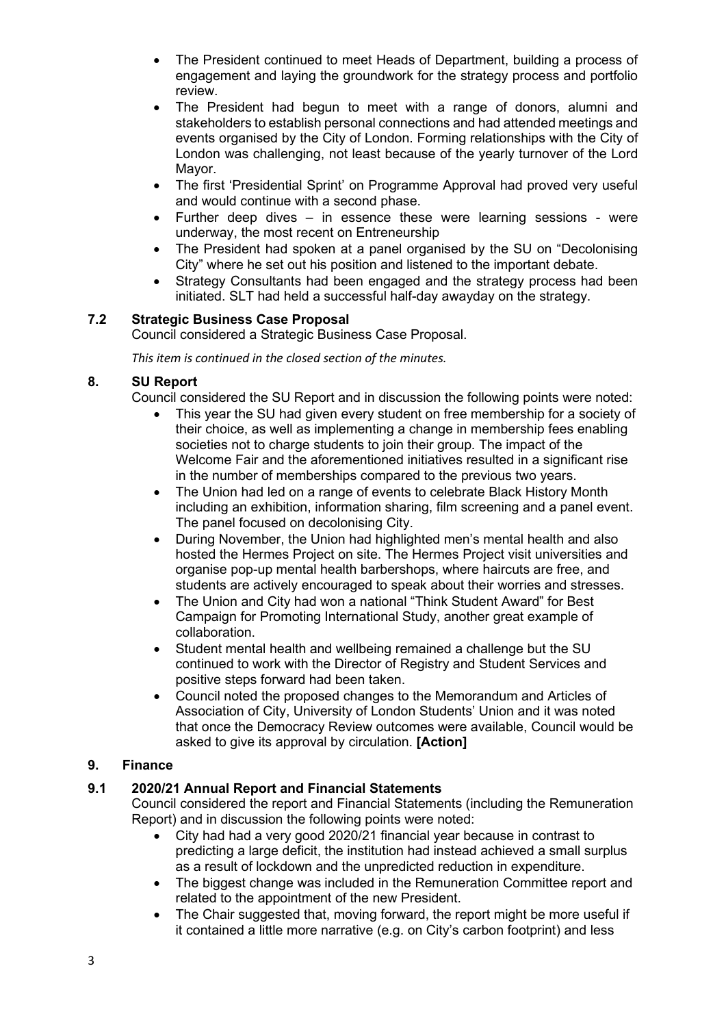- The President continued to meet Heads of Department, building a process of engagement and laying the groundwork for the strategy process and portfolio review.
- The President had begun to meet with a range of donors, alumni and stakeholders to establish personal connections and had attended meetings and events organised by the City of London. Forming relationships with the City of London was challenging, not least because of the yearly turnover of the Lord Mayor.
- The first 'Presidential Sprint' on Programme Approval had proved very useful and would continue with a second phase.
- Further deep dives in essence these were learning sessions were underway, the most recent on Entreneurship
- The President had spoken at a panel organised by the SU on "Decolonising City" where he set out his position and listened to the important debate.
- Strategy Consultants had been engaged and the strategy process had been initiated. SLT had held a successful half-day awayday on the strategy.

## **7.2 Strategic Business Case Proposal**

Council considered a Strategic Business Case Proposal.

*This item is continued in the closed section of the minutes.*

#### **8. SU Report**

Council considered the SU Report and in discussion the following points were noted:

- This year the SU had given every student on free membership for a society of their choice, as well as implementing a change in membership fees enabling societies not to charge students to join their group. The impact of the Welcome Fair and the aforementioned initiatives resulted in a significant rise in the number of memberships compared to the previous two years.
- The Union had led on a range of events to celebrate Black History Month including an exhibition, information sharing, film screening and a panel event. The panel focused on decolonising City.
- During November, the Union had highlighted men's mental health and also hosted the Hermes Project on site. The Hermes Project visit universities and organise pop-up mental health barbershops, where haircuts are free, and students are actively encouraged to speak about their worries and stresses.
- The Union and City had won a national "Think Student Award" for Best Campaign for Promoting International Study, another great example of collaboration.
- Student mental health and wellbeing remained a challenge but the SU continued to work with the Director of Registry and Student Services and positive steps forward had been taken.
- Council noted the proposed changes to the Memorandum and Articles of Association of City, University of London Students' Union and it was noted that once the Democracy Review outcomes were available, Council would be asked to give its approval by circulation. **[Action]**

## **9. Finance**

#### **9.1 2020/21 Annual Report and Financial Statements**

Council considered the report and Financial Statements (including the Remuneration Report) and in discussion the following points were noted:

- City had had a very good 2020/21 financial year because in contrast to predicting a large deficit, the institution had instead achieved a small surplus as a result of lockdown and the unpredicted reduction in expenditure.
- The biggest change was included in the Remuneration Committee report and related to the appointment of the new President.
- The Chair suggested that, moving forward, the report might be more useful if it contained a little more narrative (e.g. on City's carbon footprint) and less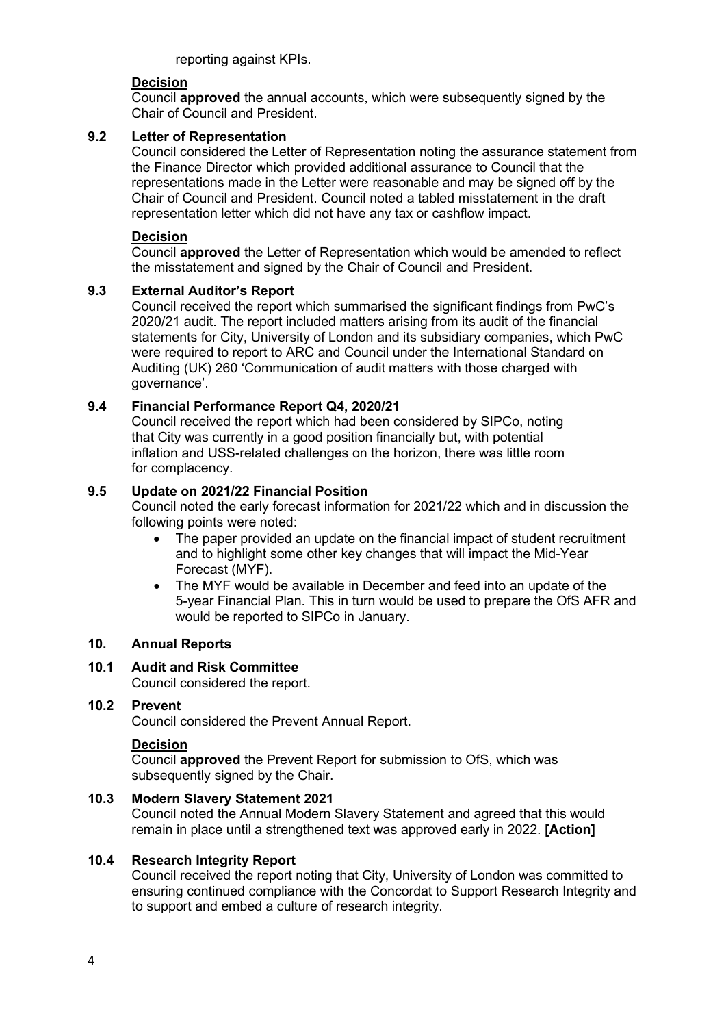reporting against KPIs.

#### **Decision**

Council **approved** the annual accounts, which were subsequently signed by the Chair of Council and President.

#### **9.2 Letter of Representation**

Council considered the Letter of Representation noting the assurance statement from the Finance Director which provided additional assurance to Council that the representations made in the Letter were reasonable and may be signed off by the Chair of Council and President. Council noted a tabled misstatement in the draft representation letter which did not have any tax or cashflow impact.

#### **Decision**

Council **approved** the Letter of Representation which would be amended to reflect the misstatement and signed by the Chair of Council and President.

#### **9.3 External Auditor's Report**

Council received the report which summarised the significant findings from PwC's 2020/21 audit. The report included matters arising from its audit of the financial statements for City, University of London and its subsidiary companies, which PwC were required to report to ARC and Council under the International Standard on Auditing (UK) 260 'Communication of audit matters with those charged with governance'.

## **9.4 Financial Performance Report Q4, 2020/21**

Council received the report which had been considered by SIPCo, noting that City was currently in a good position financially but, with potential inflation and USS-related challenges on the horizon, there was little room for complacency.

#### **9.5 Update on 2021/22 Financial Position**

Council noted the early forecast information for 2021/22 which and in discussion the following points were noted:

- The paper provided an update on the financial impact of student recruitment and to highlight some other key changes that will impact the Mid-Year Forecast (MYF).
- The MYF would be available in December and feed into an update of the 5-year Financial Plan. This in turn would be used to prepare the OfS AFR and would be reported to SIPCo in January.

#### **10. Annual Reports**

#### **10.1 Audit and Risk Committee**

Council considered the report.

#### **10.2 Prevent**

Council considered the Prevent Annual Report.

#### **Decision**

Council **approved** the Prevent Report for submission to OfS, which was subsequently signed by the Chair.

#### **10.3 Modern Slavery Statement 2021**

Council noted the Annual Modern Slavery Statement and agreed that this would remain in place until a strengthened text was approved early in 2022. **[Action]**

#### **10.4 Research Integrity Report**

Council received the report noting that City, University of London was committed to ensuring continued compliance with the Concordat to Support Research Integrity and to support and embed a culture of research integrity.